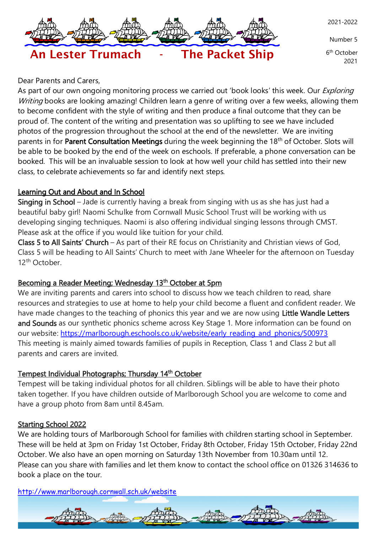

Number 5

6<sup>th</sup> October 2021

# Dear Parents and Carers,

As part of our own ongoing monitoring process we carried out 'book looks' this week. Our *Exploring* Writing books are looking amazing! Children learn a genre of writing over a few weeks, allowing them to become confident with the style of writing and then produce a final outcome that they can be proud of. The content of the writing and presentation was so uplifting to see we have included photos of the progression throughout the school at the end of the newsletter. We are inviting parents in for Parent Consultation Meetings during the week beginning the 18<sup>th</sup> of October. Slots will be able to be booked by the end of the week on eschools. If preferable, a phone conversation can be booked. This will be an invaluable session to look at how well your child has settled into their new class, to celebrate achievements so far and identify next steps.

An Lester Trumach - The Packet Ship

#### Learning Out and About and In School

Singing in School – Jade is currently having a break from singing with us as she has just had a beautiful baby girl! Naomi Schulke from Cornwall Music School Trust will be working with us developing singing techniques. Naomi is also offering individual singing lessons through CMST. Please ask at the office if you would like tuition for your child.

Class 5 to All Saints' Church – As part of their RE focus on Christianity and Christian views of God, Class 5 will be heading to All Saints' Church to meet with Jane Wheeler for the afternoon on Tuesday 12<sup>th</sup> October.

#### Becoming a Reader Meeting; Wednesday 13<sup>th</sup> October at 5pm

We are inviting parents and carers into school to discuss how we teach children to read, share resources and strategies to use at home to help your child become a fluent and confident reader. We have made changes to the teaching of phonics this year and we are now using Little Wandle Letters and Sounds as our synthetic phonics scheme across Key Stage 1. More information can be found on our website: [https://marlborough.eschools.co.uk/website/early\\_reading\\_and\\_phonics/500973](https://marlborough.eschools.co.uk/website/early_reading_and_phonics/500973) This meeting is mainly aimed towards families of pupils in Reception, Class 1 and Class 2 but all parents and carers are invited.

#### Tempest Individual Photographs; Thursday 14<sup>th</sup> October

Tempest will be taking individual photos for all children. Siblings will be able to have their photo taken together. If you have children outside of Marlborough School you are welcome to come and have a group photo from 8am until 8.45am.

#### Starting School 2022

We are holding tours of Marlborough School for families with children starting school in September. These will be held at 3pm on Friday 1st October, Friday 8th October, Friday 15th October, Friday 22nd October. We also have an open morning on Saturday 13th November from 10.30am until 12. Please can you share with families and let them know to contact the school office on 01326 314636 to book a place on the tour.

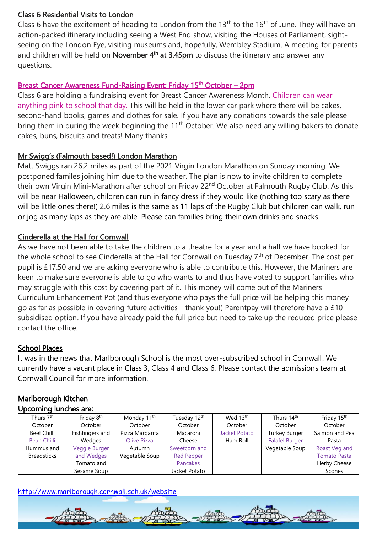#### Class 6 Residential Visits to London

Class 6 have the excitement of heading to London from the 13<sup>th</sup> to the 16<sup>th</sup> of June. They will have an action-packed itinerary including seeing a West End show, visiting the Houses of Parliament, sightseeing on the London Eye, visiting museums and, hopefully, Wembley Stadium. A meeting for parents and children will be held on **November 4<sup>th</sup> at 3.45pm** to discuss the itinerary and answer any questions.

## Breast Cancer Awareness Fund-Raising Event; Friday 15<sup>th</sup> October – 2pm

Class 6 are holding a fundraising event for Breast Cancer Awareness Month. Children can wear anything pink to school that day. This will be held in the lower car park where there will be cakes, second-hand books, games and clothes for sale. If you have any donations towards the sale please bring them in during the week beginning the 11<sup>th</sup> October. We also need any willing bakers to donate cakes, buns, biscuits and treats! Many thanks.

#### Mr Swigg's (Falmouth based!) London Marathon

Matt Swiggs ran 26.2 miles as part of the 2021 Virgin London Marathon on Sunday morning. We postponed familes joining him due to the weather. The plan is now to invite children to complete their own Virgin Mini-Marathon after school on Friday 22<sup>nd</sup> October at Falmouth Rugby Club. As this will be near Halloween, children can run in fancy dress if they would like (nothing too scary as there will be little ones there!) 2.6 miles is the same as 11 laps of the Rugby Club but children can walk, run or jog as many laps as they are able. Please can families bring their own drinks and snacks.

#### Cinderella at the Hall for Cornwall

As we have not been able to take the children to a theatre for a year and a half we have booked for the whole school to see Cinderella at the Hall for Cornwall on Tuesday 7<sup>th</sup> of December. The cost per pupil is £17.50 and we are asking everyone who is able to contribute this. However, the Mariners are keen to make sure everyone is able to go who wants to and thus have voted to support families who may struggle with this cost by covering part of it. This money will come out of the Mariners Curriculum Enhancement Pot (and thus everyone who pays the full price will be helping this money go as far as possible in covering future activities - thank you!) Parentpay will therefore have a £10 subsidised option. If you have already paid the full price but need to take up the reduced price please contact the office.

#### School Places

It was in the news that Marlborough School is the most over-subscribed school in Cornwall! We currently have a vacant place in Class 3, Class 4 and Class 6. Please contact the admissions team at Cornwall Council for more information.

#### Marlborough Kitchen Upcoming lunches are:

| <b>OPCOTHING IGHTLICS GIV.</b> |                        |                         |                   |                      |                       |                     |
|--------------------------------|------------------------|-------------------------|-------------------|----------------------|-----------------------|---------------------|
| Thurs 7 <sup>th</sup>          | Friday 8 <sup>th</sup> | Monday 11 <sup>th</sup> | Tuesday 12th      | Wed 13th             | Thurs 14th            | Friday 15th         |
| October                        | October                | October                 | October           | October              | October               | October             |
| <b>Beef Chilli</b>             | Fishfingers and        | Pizza Margarita         | Macaroni          | <b>Jacket Potato</b> | <b>Turkey Burger</b>  | Salmon and Pea      |
| Bean Chilli                    | Wedges                 | Olive Pizza             | Cheese            | Ham Roll             | <b>Falafel Burger</b> | Pasta               |
| Hummus and                     | Veggie Burger          | Autumn                  | Sweetcorn and     |                      | Vegetable Soup        | Roast Veg and       |
| <b>Breadsticks</b>             | and Wedges             | Vegetable Soup          | <b>Red Pepper</b> |                      |                       | <b>Tomato Pasta</b> |
|                                | Tomato and             |                         | Pancakes          |                      |                       | Herby Cheese        |
|                                | Sesame Soup            |                         | Jacket Potato     |                      |                       | Scones              |

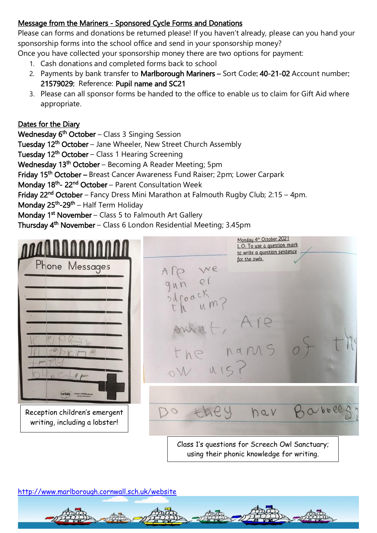# Message from the Mariners - Sponsored Cycle Forms and Donations

Please can forms and donations be returned please! If you haven't already, please can you hand your sponsorship forms into the school office and send in your sponsorship money?

Once you have collected your sponsorship money there are two options for payment:

- 1. Cash donations and completed forms back to school
- 2. Payments by bank transfer to Marlborough Mariners Sort Code: 40-21-02 Account number: 21579029: Reference: Pupil name and SC21
- 3. Please can all sponsor forms be handed to the office to enable us to claim for Gift Aid where appropriate.

## Dates for the Diary

**Wednesday 6<sup>th</sup> October** – Class 3 Singing Session

Tuesday 12<sup>th</sup> October – Jane Wheeler, New Street Church Assembly

Tuesday 12<sup>th</sup> October – Class 1 Hearing Screening

**Wednesday 13<sup>th</sup> October** – Becoming A Reader Meeting; 5pm

Friday 15<sup>th</sup> October – Breast Cancer Awareness Fund Raiser; 2pm; Lower Carpark

Monday 18<sup>th</sup>- 22<sup>nd</sup> October – Parent Consultation Week

Friday 22<sup>nd</sup> October – Fancy Dress Mini Marathon at Falmouth Rugby Club; 2:15 – 4pm.

Monday 25<sup>th</sup>-29<sup>th</sup> – Half Term Holiday

Monday 1<sup>st</sup> November – Class 5 to Falmouth Art Gallery

Thursday 4<sup>th</sup> November – Class 6 London Residential Meeting; 3.45pm



using their phonic knowledge for writing.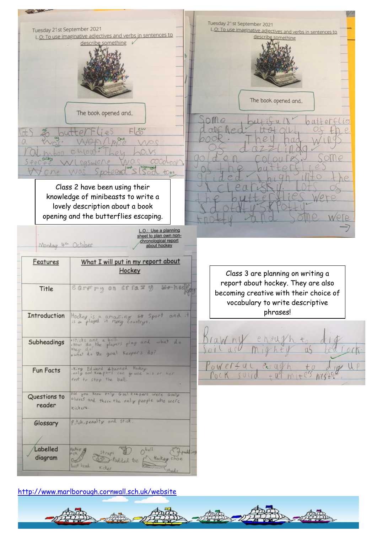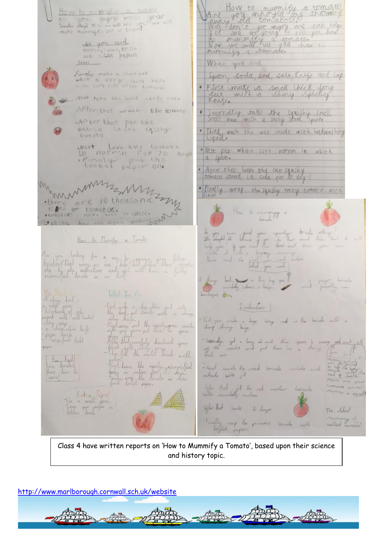Are for annoying a thomato How to mummifer a tomate<br>Are you angry when your looks think it was the month of the wall what you veed natring spoon Krife Steps What you need Further make a clean cut Spain, soda, sool, salt, Krige and Sup which a very sharp kulfe · First make va small thick long .Next take the hand seeds out. After that wash the tomato Secondly take the squishy small<br>Seels one with a shiny steel spoon. .APter that put the<br>notrin in the sqishg Third wash the wet inside with hadwashing tometo West leve the tomato<br>Un natrin For 70 days<br>Europe paper 010 . Next put while soft nation in which a spoon. After that leave the cut squicky munimiz . [indly wrap the squshy emty tomato with  $z_{n}$ there are 10 thousand How to remaining ochina h the Type of the Town with the delivered this ?<br>I do the delivered the theory and this ? but it will<br>Rear and the thing you cant. How to Munichy a Tomato Are you looking for a way of 1 5 percent of these fullows of the complete of the served of the served of the complete of the complete of the complete of the complete of the complete of the complete of the complete of the c thing but a line by your and spirally in What You De Leges on  $\overbrace{a}^{\text{ex}}$  abiny don't -<br>a reign don't be defined as the context<br>reject with don't context<br>reflicus areas First Took a deposition cut into<br>the study for the smith a shape<br>with some out the smith a shape<br>myth way out the smith in your<br>Allen the smith has smith Sutherwaters End, you make a lage long rid in the local will a rstiny soup<br>- a sham shor hnife<br>- a sham lovels<br>- Plengu foch hold Secondly, get a long of and this appear to recogn and small all paper Fue Faylor<br>Fair tomatoco<br>Agazel been to head. are<br>- Neat worth the read tomate invide and minute to be the Next leave the mody curriculud<br>Forty in nation for Curriculud<br>Forty in nation for the dean There light that if the red index tomato Loopoon Muring is egget Un Extra Tips!<br>La a crall spoon.<br>Litchen Tonel. Agler Hust water To days The doubt Enally my the primary tornate with content is Class 4 have written reports on 'How to Mummify a Tomato', based upon their science

and history topic.